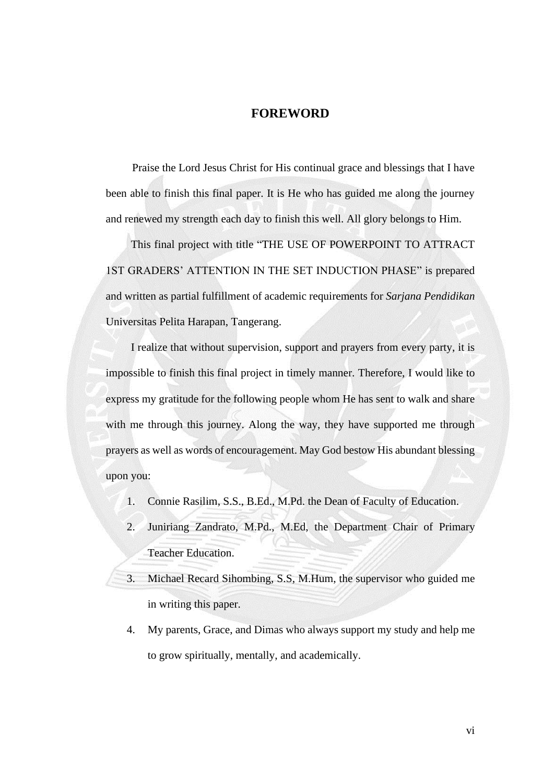## **FOREWORD**

<span id="page-0-0"></span>Praise the Lord Jesus Christ for His continual grace and blessings that I have been able to finish this final paper. It is He who has guided me along the journey and renewed my strength each day to finish this well. All glory belongs to Him.

This final project with title "THE USE OF POWERPOINT TO ATTRACT 1ST GRADERS' ATTENTION IN THE SET INDUCTION PHASE" is prepared and written as partial fulfillment of academic requirements for *Sarjana Pendidikan* Universitas Pelita Harapan, Tangerang.

I realize that without supervision, support and prayers from every party, it is impossible to finish this final project in timely manner. Therefore, I would like to express my gratitude for the following people whom He has sent to walk and share with me through this journey. Along the way, they have supported me through prayers as well as words of encouragement. May God bestow His abundant blessing upon you:

- 1. Connie Rasilim, S.S., B.Ed., M.Pd. the Dean of Faculty of Education.
- 2. Juniriang Zandrato, M.Pd., M.Ed, the Department Chair of Primary Teacher Education.
- 3. Michael Recard Sihombing, S.S, M.Hum, the supervisor who guided me in writing this paper.
- 4. My parents, Grace, and Dimas who always support my study and help me to grow spiritually, mentally, and academically.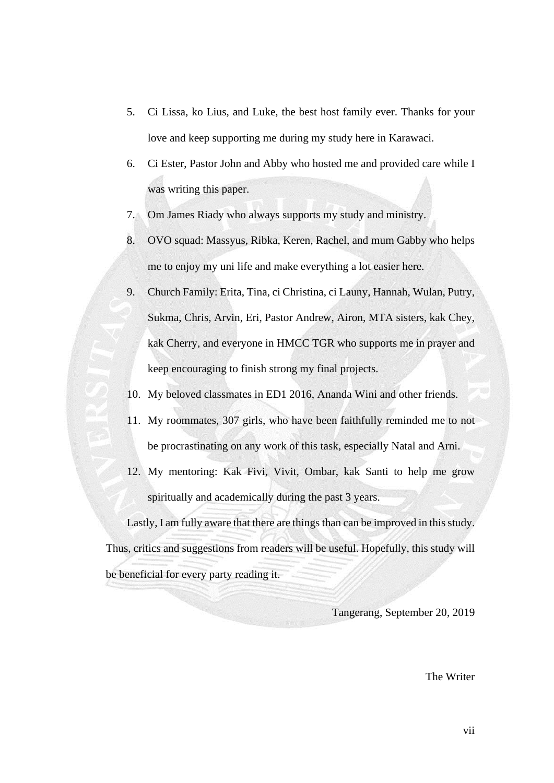- 5. Ci Lissa, ko Lius, and Luke, the best host family ever. Thanks for your love and keep supporting me during my study here in Karawaci.
- 6. Ci Ester, Pastor John and Abby who hosted me and provided care while I was writing this paper.
- 7. Om James Riady who always supports my study and ministry.
- 8. OVO squad: Massyus, Ribka, Keren, Rachel, and mum Gabby who helps me to enjoy my uni life and make everything a lot easier here.
- 9. Church Family: Erita, Tina, ci Christina, ci Launy, Hannah, Wulan, Putry, Sukma, Chris, Arvin, Eri, Pastor Andrew, Airon, MTA sisters, kak Chey, kak Cherry, and everyone in HMCC TGR who supports me in prayer and keep encouraging to finish strong my final projects.
- 10. My beloved classmates in ED1 2016, Ananda Wini and other friends.
- 11. My roommates, 307 girls, who have been faithfully reminded me to not be procrastinating on any work of this task, especially Natal and Arni.
- 12. My mentoring: Kak Fivi, Vivit, Ombar, kak Santi to help me grow spiritually and academically during the past 3 years.

Lastly, I am fully aware that there are things than can be improved in this study. Thus, critics and suggestions from readers will be useful. Hopefully, this study will be beneficial for every party reading it.

Tangerang, September 20, 2019

The Writer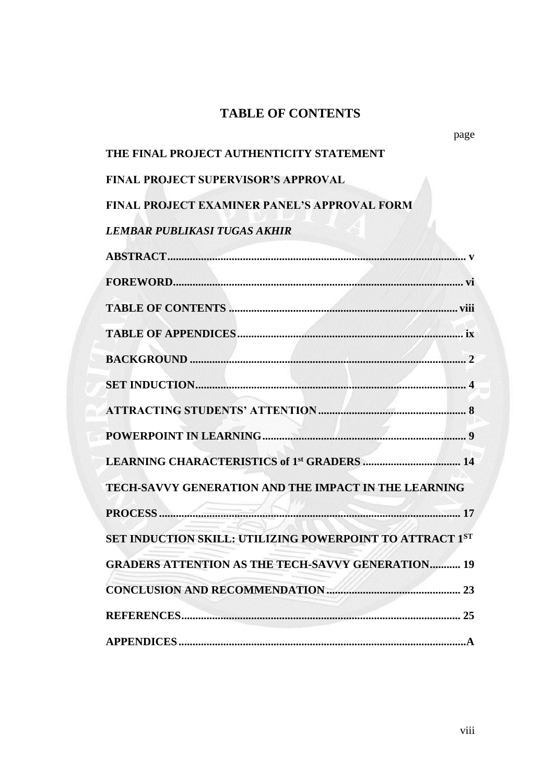## **TABLE OF CONTENTS**

page

## <span id="page-2-0"></span>**THE FINAL PROJECT AUTHENTICITY STATEMENT**

**FINAL PROJECT SUPERVISOR'S APPROVAL**

**FINAL PROJECT EXAMINER PANEL'S APPROVAL FORM**

*LEMBAR PUBLIKASI TUGAS AKHIR*

| TECH-SAVVY GENERATION AND THE IMPACT IN THE LEARNING     |
|----------------------------------------------------------|
|                                                          |
| SET INDUCTION SKILL: UTILIZING POWERPOINT TO ATTRACT 1ST |
| <b>GRADERS ATTENTION AS THE TECH-SAVVY GENERATION 19</b> |
|                                                          |
|                                                          |
|                                                          |